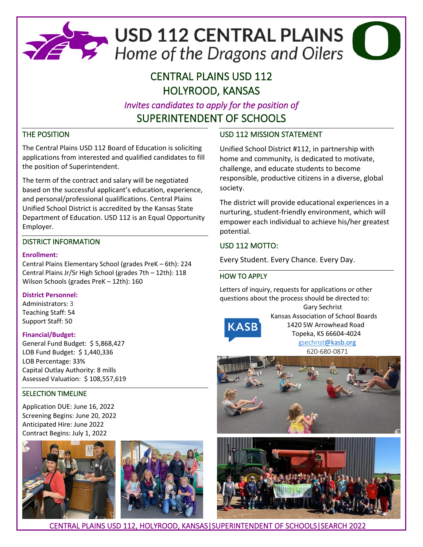

# CENTRAL PLAINS USD 112 HOLYROOD, KANSAS

*Invites candidates to apply for the position of*  SUPERINTENDENT OF SCHOOLS

## THE POSITION

The Central Plains USD 112 Board of Education is soliciting applications from interested and qualified candidates to fill the position of Superintendent.

The term of the contract and salary will be negotiated based on the successful applicant's education, experience, and personal/professional qualifications. Central Plains Unified School District is accredited by the Kansas State Department of Education. USD 112 is an Equal Opportunity Employer.

### DISTRICT INFORMATION

#### **Enrollment:**

Central Plains Elementary School (grades PreK – 6th): 224 Central Plains Jr/Sr High School (grades 7th – 12th): 118 Wilson Schools (grades PreK – 12th): 160

#### **District Personnel:**

Administrators: 3 Teaching Staff: 54 Support Staff: 50

#### **Financial/Budget:**

General Fund Budget: \$ 5,868,427 LOB Fund Budget: \$ 1,440,336 LOB Percentage: 33% Capital Outlay Authority: 8 mills Assessed Valuation: \$ 108,557,619

#### SELECTION TIMELINE

Application DUE: June 16, 2022 Screening Begins: June 20, 2022 Anticipated Hire: June 2022 Contract Begins: July 1, 2022





# USD 112 MISSION STATEMENT

Unified School District #112, in partnership with home and community, is dedicated to motivate, challenge, and educate students to become responsible, productive citizens in a diverse, global society.

The district will provide educational experiences in a nurturing, student-friendly environment, which will empower each individual to achieve his/her greatest potential.

# USD 112 MOTTO:

Every Student. Every Chance. Every Day.

## HOW TO APPLY

Letters of inquiry, requests for applications or other questions about the process should be directed to:



 Gary Sechrist Kansas Association of School Boards 1420 SW Arrowhead Road Topeka, KS 66604-4024 gsechrist[@kasb.org](mailto:gsechrist@kasb.org) 620-680-0871